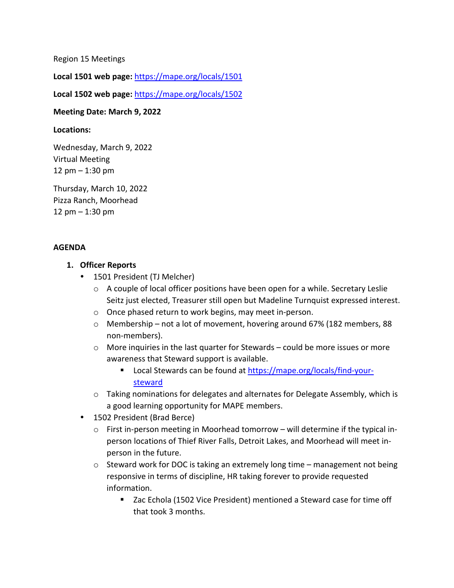Region 15 Meetings

**Local 1501 web page:** <https://mape.org/locals/1501>

**Local 1502 web page:** <https://mape.org/locals/1502>

### **Meeting Date: March 9, 2022**

#### **Locations:**

Wednesday, March 9, 2022 Virtual Meeting 12 pm – 1:30 pm

Thursday, March 10, 2022 Pizza Ranch, Moorhead 12 pm – 1:30 pm

### **AGENDA**

### **1. Officer Reports**

- 1501 President (TJ Melcher)
	- $\circ$  A couple of local officer positions have been open for a while. Secretary Leslie Seitz just elected, Treasurer still open but Madeline Turnquist expressed interest.
	- o Once phased return to work begins, may meet in-person.
	- o Membership not a lot of movement, hovering around 67% (182 members, 88 non-members).
	- $\circ$  More inquiries in the last quarter for Stewards could be more issues or more awareness that Steward support is available.
		- Local Stewards can be found at [https://mape.org/locals/find-your](https://mape.org/locals/find-your-steward)[steward](https://mape.org/locals/find-your-steward)
	- $\circ$  Taking nominations for delegates and alternates for Delegate Assembly, which is a good learning opportunity for MAPE members.
- 1502 President (Brad Berce)
	- $\circ$  First in-person meeting in Moorhead tomorrow will determine if the typical inperson locations of Thief River Falls, Detroit Lakes, and Moorhead will meet inperson in the future.
	- o Steward work for DOC is taking an extremely long time management not being responsive in terms of discipline, HR taking forever to provide requested information.
		- Zac Echola (1502 Vice President) mentioned a Steward case for time off that took 3 months.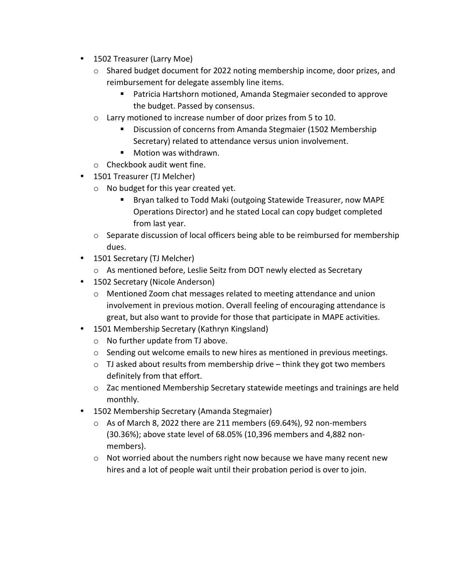- 1502 Treasurer (Larry Moe)
	- $\circ$  Shared budget document for 2022 noting membership income, door prizes, and reimbursement for delegate assembly line items.
		- Patricia Hartshorn motioned, Amanda Stegmaier seconded to approve the budget. Passed by consensus.
	- o Larry motioned to increase number of door prizes from 5 to 10.
		- Discussion of concerns from Amanda Stegmaier (1502 Membership Secretary) related to attendance versus union involvement.
		- Motion was withdrawn.
	- o Checkbook audit went fine.
- 1501 Treasurer (TJ Melcher)
	- o No budget for this year created yet.
		- Bryan talked to Todd Maki (outgoing Statewide Treasurer, now MAPE Operations Director) and he stated Local can copy budget completed from last year.
	- $\circ$  Separate discussion of local officers being able to be reimbursed for membership dues.
- 1501 Secretary (TJ Melcher)
	- o As mentioned before, Leslie Seitz from DOT newly elected as Secretary
- 1502 Secretary (Nicole Anderson)
	- o Mentioned Zoom chat messages related to meeting attendance and union involvement in previous motion. Overall feeling of encouraging attendance is great, but also want to provide for those that participate in MAPE activities.
- 1501 Membership Secretary (Kathryn Kingsland)
	- o No further update from TJ above.
	- $\circ$  Sending out welcome emails to new hires as mentioned in previous meetings.
	- $\circ$  TJ asked about results from membership drive think they got two members definitely from that effort.
	- o Zac mentioned Membership Secretary statewide meetings and trainings are held monthly.
- 1502 Membership Secretary (Amanda Stegmaier)
	- $\circ$  As of March 8, 2022 there are 211 members (69.64%), 92 non-members (30.36%); above state level of 68.05% (10,396 members and 4,882 nonmembers).
	- $\circ$  Not worried about the numbers right now because we have many recent new hires and a lot of people wait until their probation period is over to join.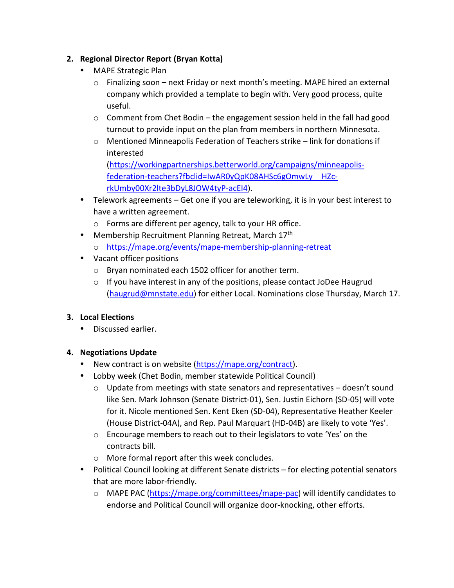## **2. Regional Director Report (Bryan Kotta)**

- MAPE Strategic Plan
	- $\circ$  Finalizing soon next Friday or next month's meeting. MAPE hired an external company which provided a template to begin with. Very good process, quite useful.
	- o Comment from Chet Bodin the engagement session held in the fall had good turnout to provide input on the plan from members in northern Minnesota.
	- o Mentioned Minneapolis Federation of Teachers strike link for donations if interested

[\(https://workingpartnerships.betterworld.org/campaigns/minneapolis](https://workingpartnerships.betterworld.org/campaigns/minneapolis-federation-teachers?fbclid=IwAR0yQpK08AHSc6gOmwLy__HZc-rkUmby00Xr2lte3bDyL8JOW4tyP-acEI4)[federation-teachers?fbclid=IwAR0yQpK08AHSc6gOmwLy\\_\\_HZc](https://workingpartnerships.betterworld.org/campaigns/minneapolis-federation-teachers?fbclid=IwAR0yQpK08AHSc6gOmwLy__HZc-rkUmby00Xr2lte3bDyL8JOW4tyP-acEI4)[rkUmby00Xr2lte3bDyL8JOW4tyP-acEI4\)](https://workingpartnerships.betterworld.org/campaigns/minneapolis-federation-teachers?fbclid=IwAR0yQpK08AHSc6gOmwLy__HZc-rkUmby00Xr2lte3bDyL8JOW4tyP-acEI4).

- Telework agreements Get one if you are teleworking, it is in your best interest to have a written agreement.
	- o Forms are different per agency, talk to your HR office.
- Membership Recruitment Planning Retreat, March 17th
	- o <https://mape.org/events/mape-membership-planning-retreat>
- Vacant officer positions
	- o Bryan nominated each 1502 officer for another term.
	- $\circ$  If you have interest in any of the positions, please contact JoDee Haugrud [\(haugrud@mnstate.edu\)](mailto:haugrud@mnstate.edu) for either Local. Nominations close Thursday, March 17.

## **3. Local Elections**

Discussed earlier.

### **4. Negotiations Update**

- New contract is on website [\(https://mape.org/contract\)](https://mape.org/contract).
- Lobby week (Chet Bodin, member statewide Political Council)
	- o Update from meetings with state senators and representatives doesn't sound like Sen. Mark Johnson (Senate District-01), Sen. Justin Eichorn (SD-05) will vote for it. Nicole mentioned Sen. Kent Eken (SD-04), Representative Heather Keeler (House District-04A), and Rep. Paul Marquart (HD-04B) are likely to vote 'Yes'.
	- o Encourage members to reach out to their legislators to vote 'Yes' on the contracts bill.
	- o More formal report after this week concludes.
- Political Council looking at different Senate districts for electing potential senators that are more labor-friendly.
	- o MAPE PAC [\(https://mape.org/committees/mape-pac\)](https://mape.org/committees/mape-pac) will identify candidates to endorse and Political Council will organize door-knocking, other efforts.